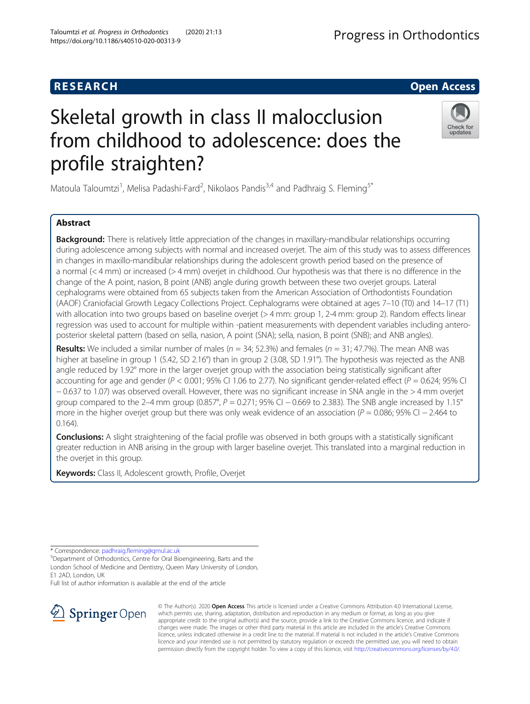# Skeletal growth in class II malocclusion from childhood to adolescence: does the profile straighten?

Matoula Taloumtzi<sup>1</sup>, Melisa Padashi-Fard<sup>2</sup>, Nikolaos Pandis<sup>3,4</sup> and Padhraig S. Fleming<sup>5\*</sup>

# Abstract

**Background:** There is relatively little appreciation of the changes in maxillary-mandibular relationships occurring during adolescence among subjects with normal and increased overjet. The aim of this study was to assess differences in changes in maxillo-mandibular relationships during the adolescent growth period based on the presence of a normal (< 4 mm) or increased (> 4 mm) overjet in childhood. Our hypothesis was that there is no difference in the change of the A point, nasion, B point (ANB) angle during growth between these two overjet groups. Lateral cephalograms were obtained from 65 subjects taken from the American Association of Orthodontists Foundation (AAOF) Craniofacial Growth Legacy Collections Project. Cephalograms were obtained at ages 7–10 (T0) and 14–17 (T1) with allocation into two groups based on baseline overjet (> 4 mm: group 1, 2-4 mm: group 2). Random effects linear regression was used to account for multiple within -patient measurements with dependent variables including anteroposterior skeletal pattern (based on sella, nasion, A point (SNA); sella, nasion, B point (SNB); and ANB angles).

**Results:** We included a similar number of males ( $n = 34$ ; 52.3%) and females ( $n = 31$ ; 47.7%). The mean ANB was higher at baseline in group 1 (5.42, SD 2.16°) than in group 2 (3.08, SD 1.91°). The hypothesis was rejected as the ANB angle reduced by 1.92° more in the larger overjet group with the association being statistically significant after accounting for age and gender ( $P < 0.001$ ; 95% CI 1.06 to 2.77). No significant gender-related effect ( $P = 0.624$ ; 95% CI − 0.637 to 1.07) was observed overall. However, there was no significant increase in SNA angle in the > 4 mm overjet group compared to the 2–4 mm group (0.857°,  $P = 0.271$ ; 95% CI  $-0.669$  to 2.383). The SNB angle increased by 1.15° more in the higher overjet group but there was only weak evidence of an association ( $P = 0.086$ ; 95% CI – 2.464 to 0.164).

Conclusions: A slight straightening of the facial profile was observed in both groups with a statistically significant greater reduction in ANB arising in the group with larger baseline overjet. This translated into a marginal reduction in the overjet in this group.

Keywords: Class II, Adolescent growth, Profile, Overjet

\* Correspondence: [padhraig.fleming@qmul.ac.uk](mailto:padhraig.fleming@qmul.ac.uk) <sup>5</sup>

<sup>5</sup>Department of Orthodontics, Centre for Oral Bioengineering, Barts and the London School of Medicine and Dentistry, Queen Mary University of London, E1 2AD, London, UK

Full list of author information is available at the end of the article

© The Author(s). 2020 Open Access This article is licensed under a Creative Commons Attribution 4.0 International License, which permits use, sharing, adaptation, distribution and reproduction in any medium or format, as long as you give appropriate credit to the original author(s) and the source, provide a link to the Creative Commons licence, and indicate if changes were made. The images or other third party material in this article are included in the article's Creative Commons licence, unless indicated otherwise in a credit line to the material. If material is not included in the article's Creative Commons licence and your intended use is not permitted by statutory regulation or exceeds the permitted use, you will need to obtain permission directly from the copyright holder. To view a copy of this licence, visit <http://creativecommons.org/licenses/by/4.0/>.







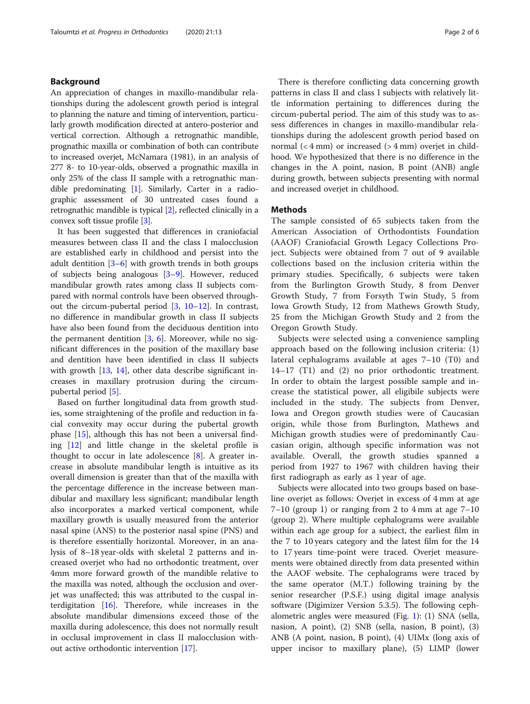# Background

An appreciation of changes in maxillo-mandibular relationships during the adolescent growth period is integral to planning the nature and timing of intervention, particularly growth modification directed at antero-posterior and vertical correction. Although a retrognathic mandible, prognathic maxilla or combination of both can contribute to increased overjet, McNamara (1981), in an analysis of 277 8- to 10-year-olds, observed a prognathic maxilla in only 25% of the class II sample with a retrognathic mandible predominating [[1](#page-5-0)]. Similarly, Carter in a radiographic assessment of 30 untreated cases found a retrognathic mandible is typical [[2](#page-5-0)], reflected clinically in a convex soft tissue profile [\[3](#page-5-0)].

It has been suggested that differences in craniofacial measures between class II and the class I malocclusion are established early in childhood and persist into the adult dentition [\[3](#page-5-0)–[6](#page-5-0)] with growth trends in both groups of subjects being analogous [[3](#page-5-0)–[9](#page-5-0)]. However, reduced mandibular growth rates among class II subjects compared with normal controls have been observed throughout the circum-pubertal period  $[3, 10-12]$  $[3, 10-12]$  $[3, 10-12]$  $[3, 10-12]$  $[3, 10-12]$  $[3, 10-12]$ . In contrast, no difference in mandibular growth in class II subjects have also been found from the deciduous dentition into the permanent dentition [\[3](#page-5-0), [6](#page-5-0)]. Moreover, while no significant differences in the position of the maxillary base and dentition have been identified in class II subjects with growth [\[13](#page-5-0), [14](#page-5-0)], other data describe significant increases in maxillary protrusion during the circumpubertal period [[5\]](#page-5-0).

Based on further longitudinal data from growth studies, some straightening of the profile and reduction in facial convexity may occur during the pubertal growth phase [[15\]](#page-5-0), although this has not been a universal finding [\[12\]](#page-5-0) and little change in the skeletal profile is thought to occur in late adolescence [\[8](#page-5-0)]. A greater increase in absolute mandibular length is intuitive as its overall dimension is greater than that of the maxilla with the percentage difference in the increase between mandibular and maxillary less significant; mandibular length also incorporates a marked vertical component, while maxillary growth is usually measured from the anterior nasal spine (ANS) to the posterior nasal spine (PNS) and is therefore essentially horizontal. Moreover, in an analysis of 8–18 year-olds with skeletal 2 patterns and increased overjet who had no orthodontic treatment, over 4mm more forward growth of the mandible relative to the maxilla was noted, although the occlusion and overjet was unaffected; this was attributed to the cuspal interdigitation [\[16](#page-5-0)]. Therefore, while increases in the absolute mandibular dimensions exceed those of the maxilla during adolescence, this does not normally result in occlusal improvement in class II malocclusion without active orthodontic intervention [[17\]](#page-5-0).

There is therefore conflicting data concerning growth patterns in class II and class I subjects with relatively little information pertaining to differences during the circum-pubertal period. The aim of this study was to assess differences in changes in maxillo-mandibular relationships during the adolescent growth period based on normal  $(< 4 \text{ mm})$  or increased  $(> 4 \text{ mm})$  overjet in childhood. We hypothesized that there is no difference in the changes in the A point, nasion, B point (ANB) angle during growth, between subjects presenting with normal and increased overjet in childhood.

#### Methods

The sample consisted of 65 subjects taken from the American Association of Orthodontists Foundation (AAOF) Craniofacial Growth Legacy Collections Project. Subjects were obtained from 7 out of 9 available collections based on the inclusion criteria within the primary studies. Specifically, 6 subjects were taken from the Burlington Growth Study, 8 from Denver Growth Study, 7 from Forsyth Twin Study, 5 from Iowa Growth Study, 12 from Mathews Growth Study, 25 from the Michigan Growth Study and 2 from the Oregon Growth Study.

Subjects were selected using a convenience sampling approach based on the following inclusion criteria: (1) lateral cephalograms available at ages 7–10 (T0) and 14–17 (T1) and (2) no prior orthodontic treatment. In order to obtain the largest possible sample and increase the statistical power, all eligibile subjects were included in the study. The subjects from Denver, Iowa and Oregon growth studies were of Caucasian origin, while those from Burlington, Mathews and Michigan growth studies were of predominantly Caucasian origin, although specific information was not available. Overall, the growth studies spanned a period from 1927 to 1967 with children having their first radiograph as early as 1 year of age.

Subjects were allocated into two groups based on baseline overjet as follows: Overjet in excess of 4 mm at age  $7-10$  (group 1) or ranging from 2 to 4 mm at age  $7-10$ (group 2). Where multiple cephalograms were available within each age group for a subject, the earliest film in the 7 to 10 years category and the latest film for the 14 to 17 years time-point were traced. Overjet measurements were obtained directly from data presented within the AAOF website. The cephalograms were traced by the same operator (M.T.) following training by the senior researcher (P.S.F.) using digital image analysis software (Digimizer Version 5.3.5). The following cephalometric angles were measured (Fig. [1](#page-2-0)): (1) SNA (sella, nasion, A point), (2) SNB (sella, nasion, B point), (3) ANB (A point, nasion, B point), (4) UIMx (long axis of upper incisor to maxillary plane), (5) LIMP (lower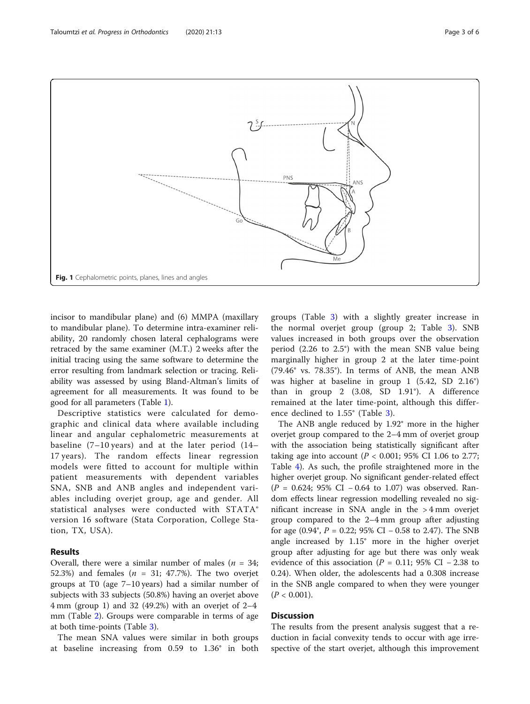<span id="page-2-0"></span>

incisor to mandibular plane) and (6) MMPA (maxillary to mandibular plane). To determine intra-examiner reliability, 20 randomly chosen lateral cephalograms were retraced by the same examiner (M.T.) 2 weeks after the initial tracing using the same software to determine the error resulting from landmark selection or tracing. Reliability was assessed by using Bland-Altman's limits of agreement for all measurements. It was found to be good for all parameters (Table [1](#page-3-0)).

Descriptive statistics were calculated for demographic and clinical data where available including linear and angular cephalometric measurements at baseline (7–10 years) and at the later period (14– 17 years). The random effects linear regression models were fitted to account for multiple within patient measurements with dependent variables SNA, SNB and ANB angles and independent variables including overjet group, age and gender. All statistical analyses were conducted with STATA® version 16 software (Stata Corporation, College Station, TX, USA).

# Results

Overall, there were a similar number of males ( $n = 34$ ; 52.3%) and females ( $n = 31$ ; 47.7%). The two overjet groups at T0 (age 7–10 years) had a similar number of subjects with 33 subjects (50.8%) having an overjet above 4 mm (group 1) and 32 (49.2%) with an overjet of 2–4 mm (Table [2](#page-3-0)). Groups were comparable in terms of age at both time-points (Table [3\)](#page-3-0).

The mean SNA values were similar in both groups at baseline increasing from 0.59 to 1.36° in both groups (Table [3\)](#page-3-0) with a slightly greater increase in the normal overjet group (group 2; Table [3](#page-3-0)). SNB values increased in both groups over the observation period (2.26 to 2.5°) with the mean SNB value being marginally higher in group 2 at the later time-point (79.46° vs. 78.35°). In terms of ANB, the mean ANB was higher at baseline in group 1 (5.42, SD 2.16°) than in group 2 (3.08, SD 1.91°). A difference remained at the later time-point, although this difference declined to 1.55° (Table [3](#page-3-0)).

The ANB angle reduced by 1.92° more in the higher overjet group compared to the 2–4 mm of overjet group with the association being statistically significant after taking age into account ( $P < 0.001$ ; 95% CI 1.06 to 2.77; Table [4\)](#page-3-0). As such, the profile straightened more in the higher overjet group. No significant gender-related effect  $(P = 0.624; 95\% \text{ CI} - 0.64 \text{ to } 1.07)$  was observed. Random effects linear regression modelling revealed no significant increase in SNA angle in the > 4 mm overjet group compared to the 2–4 mm group after adjusting for age  $(0.94^{\circ}, P = 0.22; 95\% \text{ CI} - 0.58 \text{ to } 2.47)$ . The SNB angle increased by 1.15° more in the higher overjet group after adjusting for age but there was only weak evidence of this association ( $P = 0.11$ ; 95% CI – 2.38 to 0.24). When older, the adolescents had a 0.308 increase in the SNB angle compared to when they were younger  $(P < 0.001)$ .

# **Discussion**

The results from the present analysis suggest that a reduction in facial convexity tends to occur with age irrespective of the start overjet, although this improvement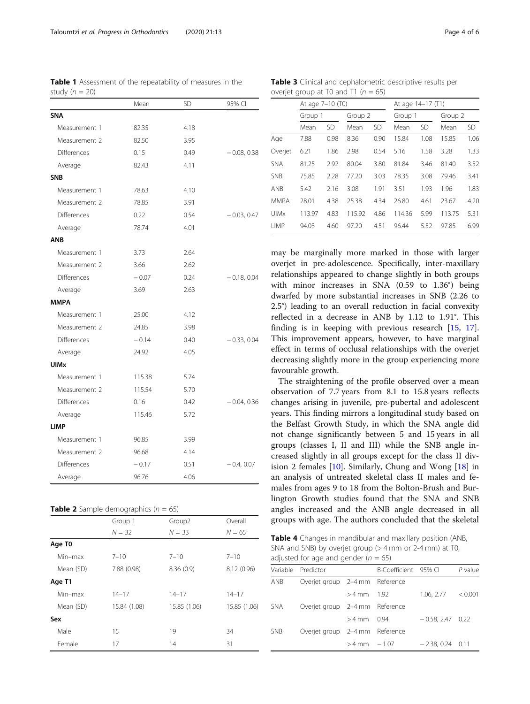may be marginally more marked in those with larger overjet in pre-adolescence. Specifically, inter-maxillary relationships appeared to change slightly in both groups with minor increases in SNA (0.59 to 1.36°) being dwarfed by more substantial increases in SNB (2.26 to 2.5°) leading to an overall reduction in facial convexity reflected in a decrease in ANB by 1.12 to 1.91°. This finding is in keeping with previous research [\[15,](#page-5-0) [17](#page-5-0)]. This improvement appears, however, to have marginal effect in terms of occlusal relationships with the overjet decreasing slightly more in the group experiencing more favourable growth.

The straightening of the profile observed over a mean observation of 7.7 years from 8.1 to 15.8 years reflects changes arising in juvenile, pre-pubertal and adolescent years. This finding mirrors a longitudinal study based on the Belfast Growth Study, in which the SNA angle did not change significantly between 5 and 15 years in all groups (classes I, II and III) while the SNB angle increased slightly in all groups except for the class II division 2 females [\[10\]](#page-5-0). Similarly, Chung and Wong [\[18](#page-5-0)] in an analysis of untreated skeletal class II males and females from ages 9 to 18 from the Bolton-Brush and Burlington Growth studies found that the SNA and SNB angles increased and the ANB angle decreased in all groups with age. The authors concluded that the skeletal

Table 4 Changes in mandibular and maxillary position (ANB, SNA and SNB) by overjet group (> 4 mm or 2-4 mm) at T0, adjusted for age and gender ( $n = 65$ )

|            | Variable Predictor             |                 | B-Coefficient 95% Cl |                     | $P$ value |
|------------|--------------------------------|-----------------|----------------------|---------------------|-----------|
| anb        | Overjet group 2-4 mm Reference |                 |                      |                     |           |
|            |                                | $>4$ mm 1.92    |                      | 1.06, 2.77 < 0.001  |           |
| <b>SNA</b> | Overjet group 2-4 mm Reference |                 |                      |                     |           |
|            |                                | $>4$ mm 0.94    |                      | $-0.58, 2.47, 0.22$ |           |
| <b>SNB</b> | Overjet group 2-4 mm Reference |                 |                      |                     |           |
|            |                                | $>4$ mm $-1.07$ |                      | $-2.38, 0.24$ 0.11  |           |

<span id="page-3-0"></span>Table 1 Assessment of the repeatability of measures in the study ( $n = 20$ )

Mean SD 95% CI

| <b>SNA</b>         |         |      |               |
|--------------------|---------|------|---------------|
| Measurement 1      | 82.35   | 4.18 |               |
| Measurement 2      | 82.50   | 3.95 |               |
| <b>Differences</b> | 0.15    | 0.49 | $-0.08, 0.38$ |
| Average            | 82.43   | 4.11 |               |
| <b>SNB</b>         |         |      |               |
| Measurement 1      | 78.63   | 4.10 |               |
| Measurement 2      | 78.85   | 3.91 |               |
| Differences        | 0.22    | 0.54 | $-0.03, 0.47$ |
| Average            | 78.74   | 4.01 |               |
| <b>ANB</b>         |         |      |               |
| Measurement 1      | 3.73    | 2.64 |               |
| Measurement 2      | 3.66    | 2.62 |               |
| <b>Differences</b> | $-0.07$ | 0.24 | $-0.18, 0.04$ |
| Average            | 3.69    | 2.63 |               |
| <b>MMPA</b>        |         |      |               |
| Measurement 1      | 25.00   | 4.12 |               |
| Measurement 2      | 24.85   | 3.98 |               |
| <b>Differences</b> | $-0.14$ | 0.40 | $-0.33, 0.04$ |
| Average            | 24.92   | 4.05 |               |
| <b>UIMx</b>        |         |      |               |
| Measurement 1      | 115.38  | 5.74 |               |
| Measurement 2      | 115.54  | 5.70 |               |
| Differences        | 0.16    | 0.42 | $-0.04, 0.36$ |
| Average            | 115.46  | 5.72 |               |
| <b>LIMP</b>        |         |      |               |

Measurement 1 96.85 3.99 Measurement 2 96.68 4.14

Average 96.76 4.06

**Table 2** Sample demographics ( $n = 65$ )

Age T0

Age T1

Sex

Differences − 0.17 0.51 − 0.4, 0.07

Min–max 7–10 7–10 7–10 Mean (SD) 7.88 (0.98) 8.36 (0.9) 8.12 (0.96)

Min–max 14–17 14–17 14–17 Mean (SD) 15.84 (1.08) 15.85 (1.06) 15.85 (1.06)

Male 15 19 34 Female 17 14 31

Group 1 Group2 Overall  $N = 32$   $N = 33$   $N = 65$ 

Table 3 Clinical and cephalometric descriptive results per overjet group at T0 and T1 ( $n = 65$ )

At age 7–10 (T0) At age 14–17 (T1) Group 1 Group 2 Group 1 Group 2 Mean SD Mean SD Mean SD Mean SD Age 7.88 0.98 8.36 0.90 15.84 1.08 15.85 1.06 Overjet 6.21 1.86 2.98 0.54 5.16 1.58 3.28 1.33 SNA 81.25 2.92 80.04 3.80 81.84 3.46 81.40 3.52 SNB 75.85 2.28 77.20 3.03 78.35 3.08 79.46 3.41 ANB 5.42 2.16 3.08 1.91 3.51 1.93 1.96 1.83 MMPA 28.01 4.38 25.38 4.34 26.80 4.61 23.67 4.20 UIMx 113.97 4.83 115.92 4.86 114.36 5.99 113.75 5.31 LIMP 94.03 4.60 97.20 4.51 96.44 5.52 97.85 6.99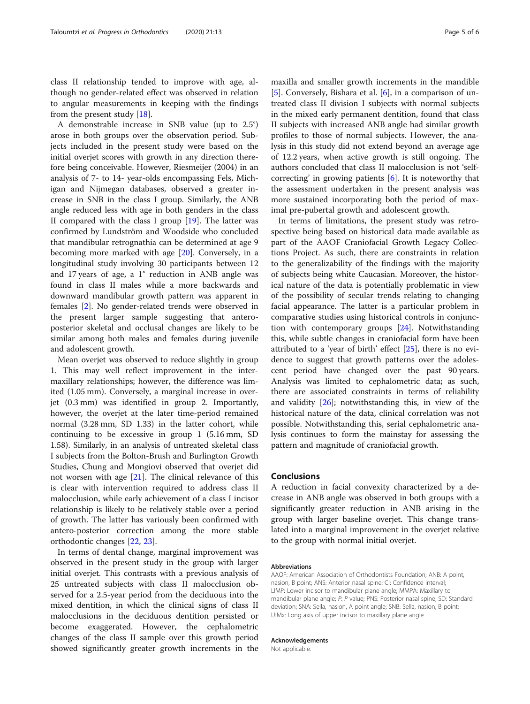class II relationship tended to improve with age, although no gender-related effect was observed in relation to angular measurements in keeping with the findings from the present study [\[18](#page-5-0)].

A demonstrable increase in SNB value (up to 2.5°) arose in both groups over the observation period. Subjects included in the present study were based on the initial overjet scores with growth in any direction therefore being conceivable. However, Riesmeijer (2004) in an analysis of 7- to 14- year-olds encompassing Fels, Michigan and Nijmegan databases, observed a greater increase in SNB in the class I group. Similarly, the ANB angle reduced less with age in both genders in the class II compared with the class I group [\[19\]](#page-5-0). The latter was confirmed by Lundström and Woodside who concluded that mandibular retrognathia can be determined at age 9 becoming more marked with age [[20\]](#page-5-0). Conversely, in a longitudinal study involving 30 participants between 12 and 17 years of age, a 1° reduction in ANB angle was found in class II males while a more backwards and downward mandibular growth pattern was apparent in females [[2](#page-5-0)]. No gender-related trends were observed in the present larger sample suggesting that anteroposterior skeletal and occlusal changes are likely to be similar among both males and females during juvenile and adolescent growth.

Mean overjet was observed to reduce slightly in group 1. This may well reflect improvement in the intermaxillary relationships; however, the difference was limited (1.05 mm). Conversely, a marginal increase in overjet (0.3 mm) was identified in group 2. Importantly, however, the overjet at the later time-period remained normal (3.28 mm, SD 1.33) in the latter cohort, while continuing to be excessive in group 1 (5.16 mm, SD 1.58). Similarly, in an analysis of untreated skeletal class I subjects from the Bolton-Brush and Burlington Growth Studies, Chung and Mongiovi observed that overjet did not worsen with age  $[21]$  $[21]$ . The clinical relevance of this is clear with intervention required to address class II malocclusion, while early achievement of a class I incisor relationship is likely to be relatively stable over a period of growth. The latter has variously been confirmed with antero-posterior correction among the more stable orthodontic changes [\[22](#page-5-0), [23](#page-5-0)].

In terms of dental change, marginal improvement was observed in the present study in the group with larger initial overjet. This contrasts with a previous analysis of 25 untreated subjects with class II malocclusion observed for a 2.5-year period from the deciduous into the mixed dentition, in which the clinical signs of class II malocclusions in the deciduous dentition persisted or become exaggerated. However, the cephalometric changes of the class II sample over this growth period showed significantly greater growth increments in the

maxilla and smaller growth increments in the mandible [[5\]](#page-5-0). Conversely, Bishara et al. [\[6](#page-5-0)], in a comparison of untreated class II division I subjects with normal subjects in the mixed early permanent dentition, found that class II subjects with increased ANB angle had similar growth profiles to those of normal subjects. However, the analysis in this study did not extend beyond an average age of 12.2 years, when active growth is still ongoing. The authors concluded that class II malocclusion is not 'selfcorrecting' in growing patients [[6\]](#page-5-0). It is noteworthy that the assessment undertaken in the present analysis was more sustained incorporating both the period of maximal pre-pubertal growth and adolescent growth.

In terms of limitations, the present study was retrospective being based on historical data made available as part of the AAOF Craniofacial Growth Legacy Collections Project. As such, there are constraints in relation to the generalizability of the findings with the majority of subjects being white Caucasian. Moreover, the historical nature of the data is potentially problematic in view of the possibility of secular trends relating to changing facial appearance. The latter is a particular problem in comparative studies using historical controls in conjunction with contemporary groups [[24](#page-5-0)]. Notwithstanding this, while subtle changes in craniofacial form have been attributed to a 'year of birth' effect [\[25](#page-5-0)], there is no evidence to suggest that growth patterns over the adolescent period have changed over the past 90 years. Analysis was limited to cephalometric data; as such, there are associated constraints in terms of reliability and validity  $[26]$  $[26]$ ; notwithstanding this, in view of the historical nature of the data, clinical correlation was not possible. Notwithstanding this, serial cephalometric analysis continues to form the mainstay for assessing the pattern and magnitude of craniofacial growth.

# Conclusions

A reduction in facial convexity characterized by a decrease in ANB angle was observed in both groups with a significantly greater reduction in ANB arising in the group with larger baseline overjet. This change translated into a marginal improvement in the overjet relative to the group with normal initial overjet.

#### Abbreviations

AAOF: American Association of Orthodontists Foundation; ANB: A point, nasion, B point; ANS: Anterior nasal spine; CI: Confidence interval; LIMP: Lower incisor to mandibular plane angle; MMPA: Maxillary to mandibular plane angle; P: P value; PNS: Posterior nasal spine; SD: Standard deviation; SNA: Sella, nasion, A point angle; SNB: Sella, nasion, B point; UIMx: Long axis of upper incisor to maxillary plane angle

#### Acknowledgements

Not applicable.